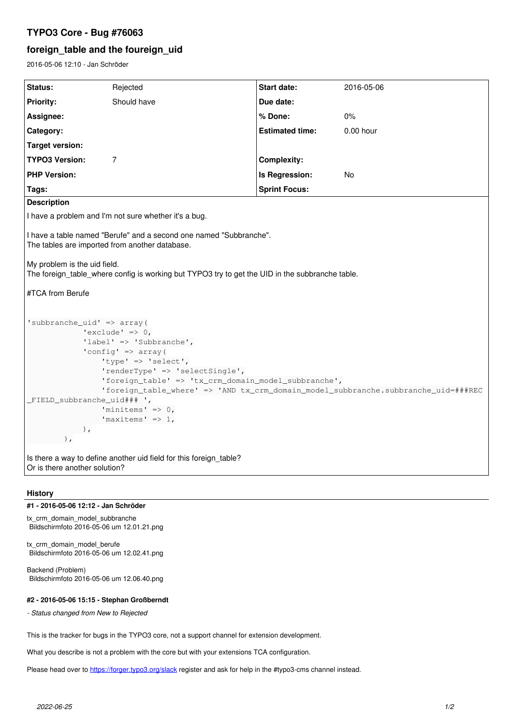# **TYPO3 Core - Bug #76063**

## **foreign\_table and the foureign\_uid**

2016-05-06 12:10 - Jan Schröder

| Status:                                                                                                                                                                                                                                                                                                                                                                                                                                                                                           | Rejected    | <b>Start date:</b>     | 2016-05-06  |  |  |
|---------------------------------------------------------------------------------------------------------------------------------------------------------------------------------------------------------------------------------------------------------------------------------------------------------------------------------------------------------------------------------------------------------------------------------------------------------------------------------------------------|-------------|------------------------|-------------|--|--|
| <b>Priority:</b>                                                                                                                                                                                                                                                                                                                                                                                                                                                                                  | Should have | Due date:              |             |  |  |
| Assignee:                                                                                                                                                                                                                                                                                                                                                                                                                                                                                         |             | % Done:                | $0\%$       |  |  |
| Category:                                                                                                                                                                                                                                                                                                                                                                                                                                                                                         |             | <b>Estimated time:</b> | $0.00$ hour |  |  |
| <b>Target version:</b>                                                                                                                                                                                                                                                                                                                                                                                                                                                                            |             |                        |             |  |  |
| <b>TYPO3 Version:</b>                                                                                                                                                                                                                                                                                                                                                                                                                                                                             | 7           | <b>Complexity:</b>     |             |  |  |
| <b>PHP Version:</b>                                                                                                                                                                                                                                                                                                                                                                                                                                                                               |             | Is Regression:         | No          |  |  |
| Tags:                                                                                                                                                                                                                                                                                                                                                                                                                                                                                             |             | <b>Sprint Focus:</b>   |             |  |  |
| <b>Description</b>                                                                                                                                                                                                                                                                                                                                                                                                                                                                                |             |                        |             |  |  |
| I have a problem and I'm not sure whether it's a bug.                                                                                                                                                                                                                                                                                                                                                                                                                                             |             |                        |             |  |  |
| I have a table named "Berufe" and a second one named "Subbranche".<br>The tables are imported from another database.<br>My problem is the uid field.<br>The foreign table where config is working but TYPO3 try to get the UID in the subbranche table.<br>#TCA from Berufe                                                                                                                                                                                                                       |             |                        |             |  |  |
| 'subbranche_uid' => array(<br>$'$ exclude' => 0,<br>'label' => 'Subbranche',<br>'config' => $array($<br>'type' => 'select',<br>'renderType' => 'selectSingle',<br>'foreign_table' => 'tx_crm_domain_model_subbranche',<br>'foreign_table_where' => 'AND tx_crm_domain_model_subbranche.subbranche_uid=###REC<br>_FIELD_subbranche_uid### ',<br>'minitems' $\Rightarrow$ 0,<br>'maxitems' => $1$ ,<br>$\rightarrow$<br>$)$ ,<br>Is there a way to define another uid field for this foreign_table? |             |                        |             |  |  |
| Or is there another solution?                                                                                                                                                                                                                                                                                                                                                                                                                                                                     |             |                        |             |  |  |

### **History**

#### **#1 - 2016-05-06 12:12 - Jan Schröder**

tx\_crm\_domain\_model\_subbranche Bildschirmfoto 2016-05-06 um 12.01.21.png

tx\_crm\_domain\_model\_berufe Bildschirmfoto 2016-05-06 um 12.02.41.png

Backend (Problem) Bildschirmfoto 2016-05-06 um 12.06.40.png

### **#2 - 2016-05-06 15:15 - Stephan Großberndt**

*- Status changed from New to Rejected*

This is the tracker for bugs in the TYPO3 core, not a support channel for extension development.

What you describe is not a problem with the core but with your extensions TCA configuration.

Please head over to <https://forger.typo3.org/slack>register and ask for help in the #typo3-cms channel instead.